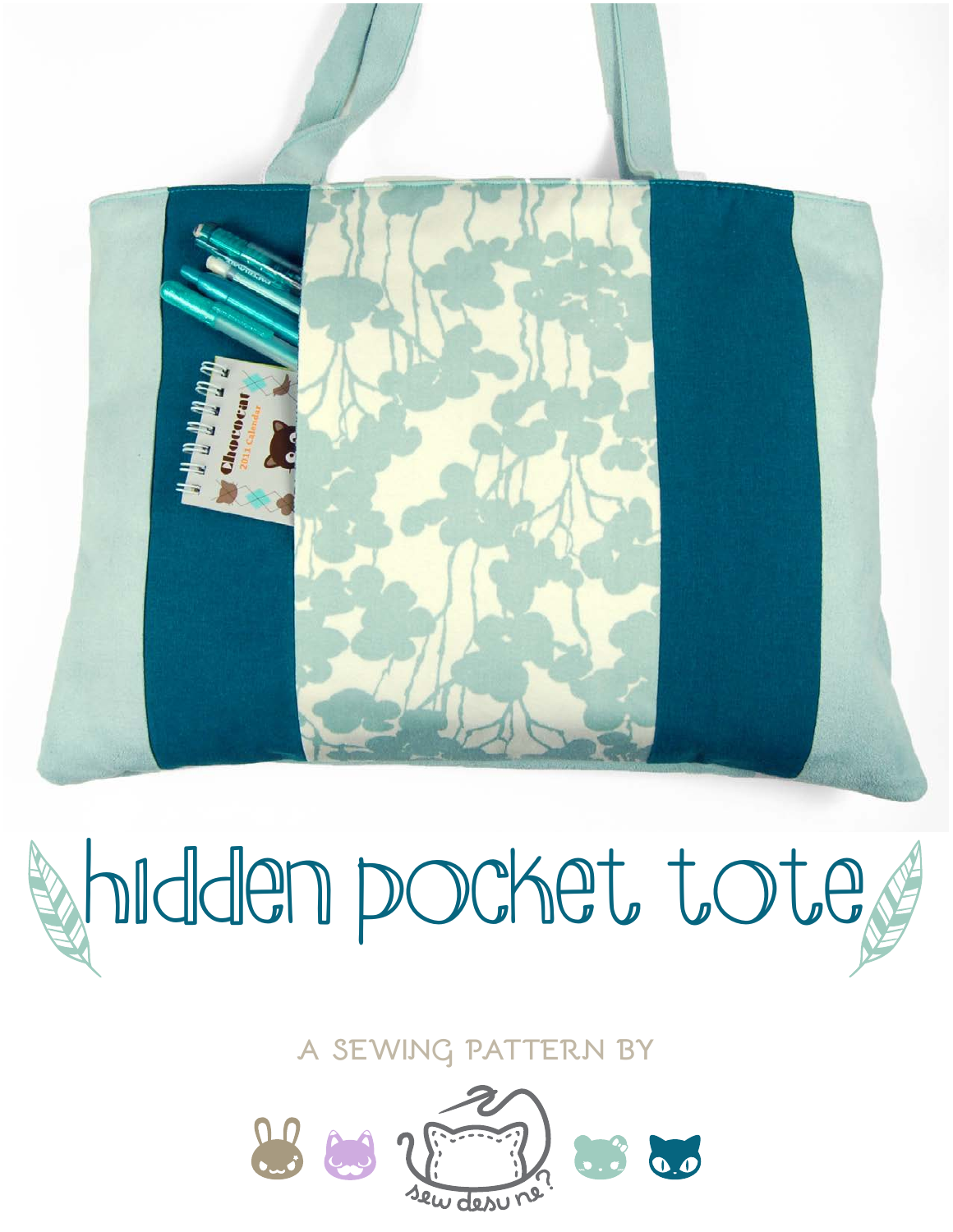

**a sewing pattern by**

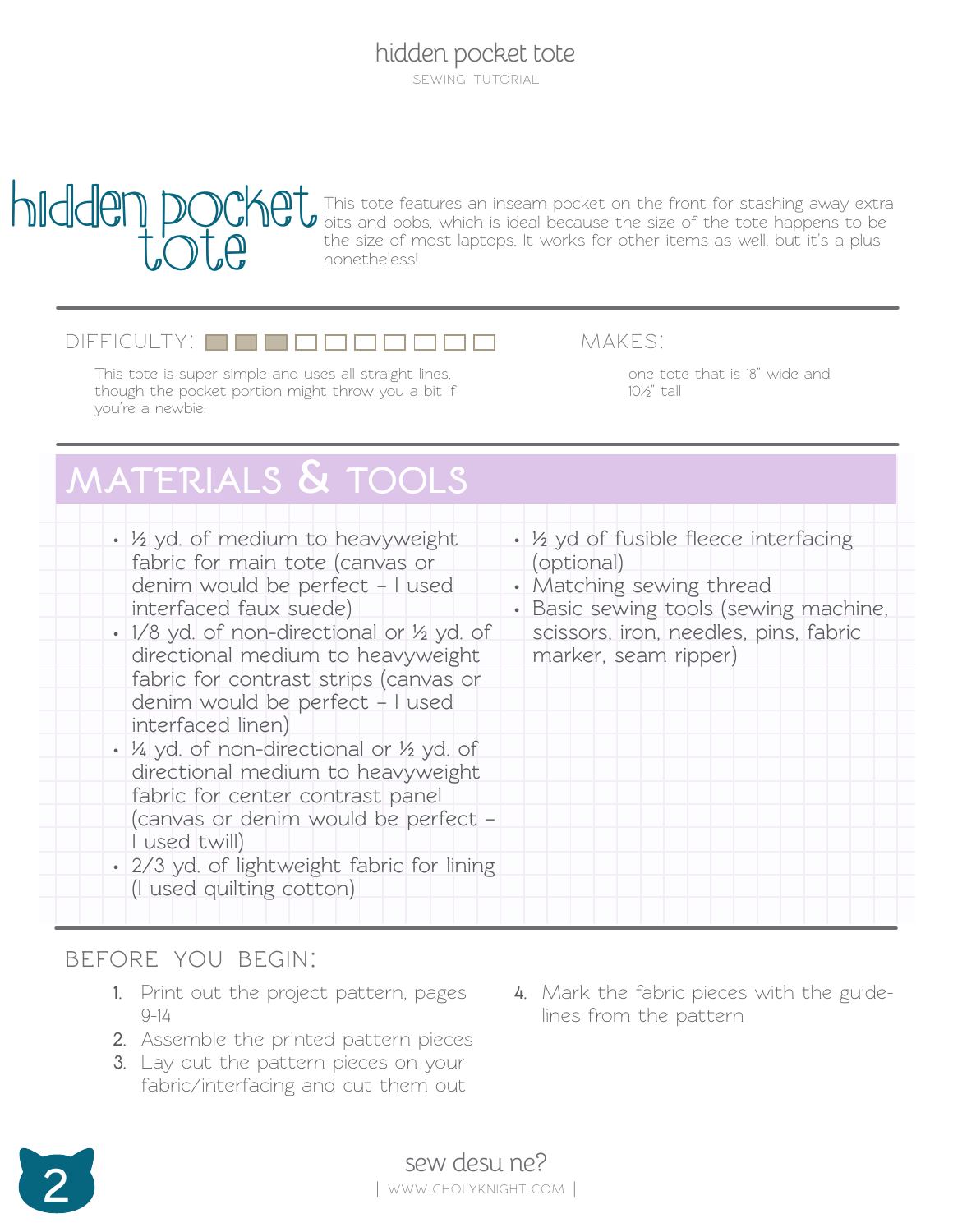sewing tutorial



This tote features an inseam pocket on the front for stashing away extra bits and bobs, which is ideal because the size of the tote happens to be the size of most laptops. It works for other items as well, but it's a plus nonetheless!

#### $D$ IFFICULTY:  $\Box$  $\Box$  $\Box$

This tote is super simple and uses all straight lines, though the pocket portion might throw you a bit if you're a newbie.

makes:

one tote that is 18" wide and 10½" tall

# **materials & tools**

| • 1/2 yd. of medium to heavyweight<br>fabric for main tote (canvas or<br>denim would be perfect - I used<br>interfaced faux suede)                                               | • 1/2 yd of fusible fleece interfacing<br>(optional)<br>• Matching sewing thread<br>· Basic sewing tools (sewing machine, |
|----------------------------------------------------------------------------------------------------------------------------------------------------------------------------------|---------------------------------------------------------------------------------------------------------------------------|
| • 1/8 yd. of non-directional or 1/2 yd. of<br>directional medium to heavyweight<br>fabric for contrast strips (canvas or<br>denim would be perfect - I used<br>interfaced linen) | scissors, iron, needles, pins, fabric<br>marker, seam ripper)                                                             |
| • 1/4 yd. of non-directional or 1/2 yd. of<br>directional medium to heavyweight<br>fabric for center contrast panel                                                              |                                                                                                                           |
| (canvas or denim would be perfect -<br>I used twill)<br>· 2/3 yd. of lightweight fabric for lining<br>(I used quilting cotton)                                                   |                                                                                                                           |

#### **before you begin:**

- **1.** Print out the project pattern, pages  $9 - 14$
- **2.** Assemble the printed pattern pieces
- **3.** Lay out the pattern pieces on your fabric/interfacing and cut them out
- **4.** Mark the fabric pieces with the guidelines from the pattern

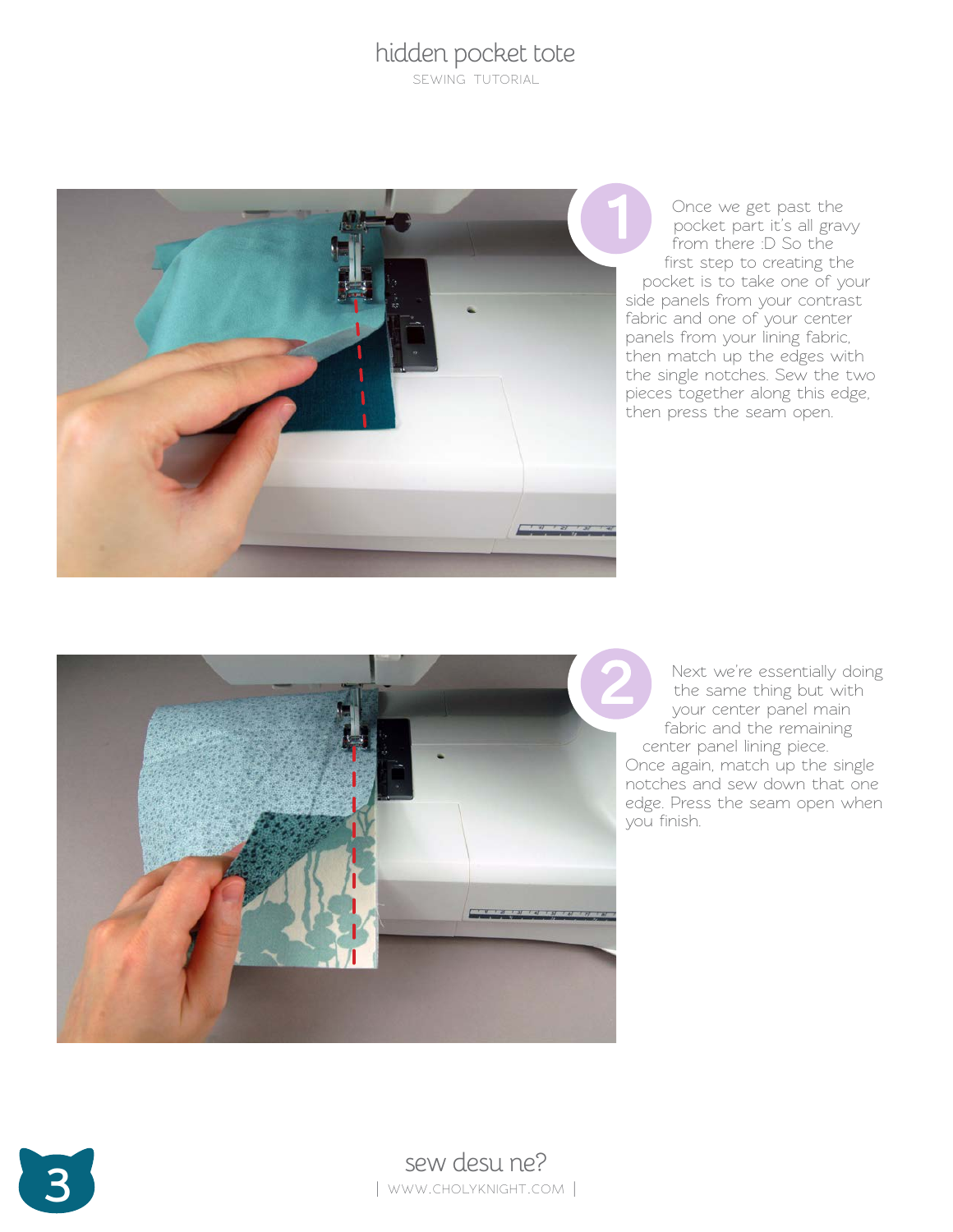sewing tutorial



Once we get past the pocket part it's all gravy from there :D So the first step to creating the pocket is to take one of your side panels from your contrast fabric and one of your center panels from your lining fabric, then match up the edges with the single notches. Sew the two pieces together along this edge, then press the seam open.



Next we're essentially doing the same thing but with your center panel main fabric and the remaining center panel lining piece. Once again, match up the single notches and sew down that one edge. Press the seam open when you finish.



Sew desu ne? | www.cholyknight.com |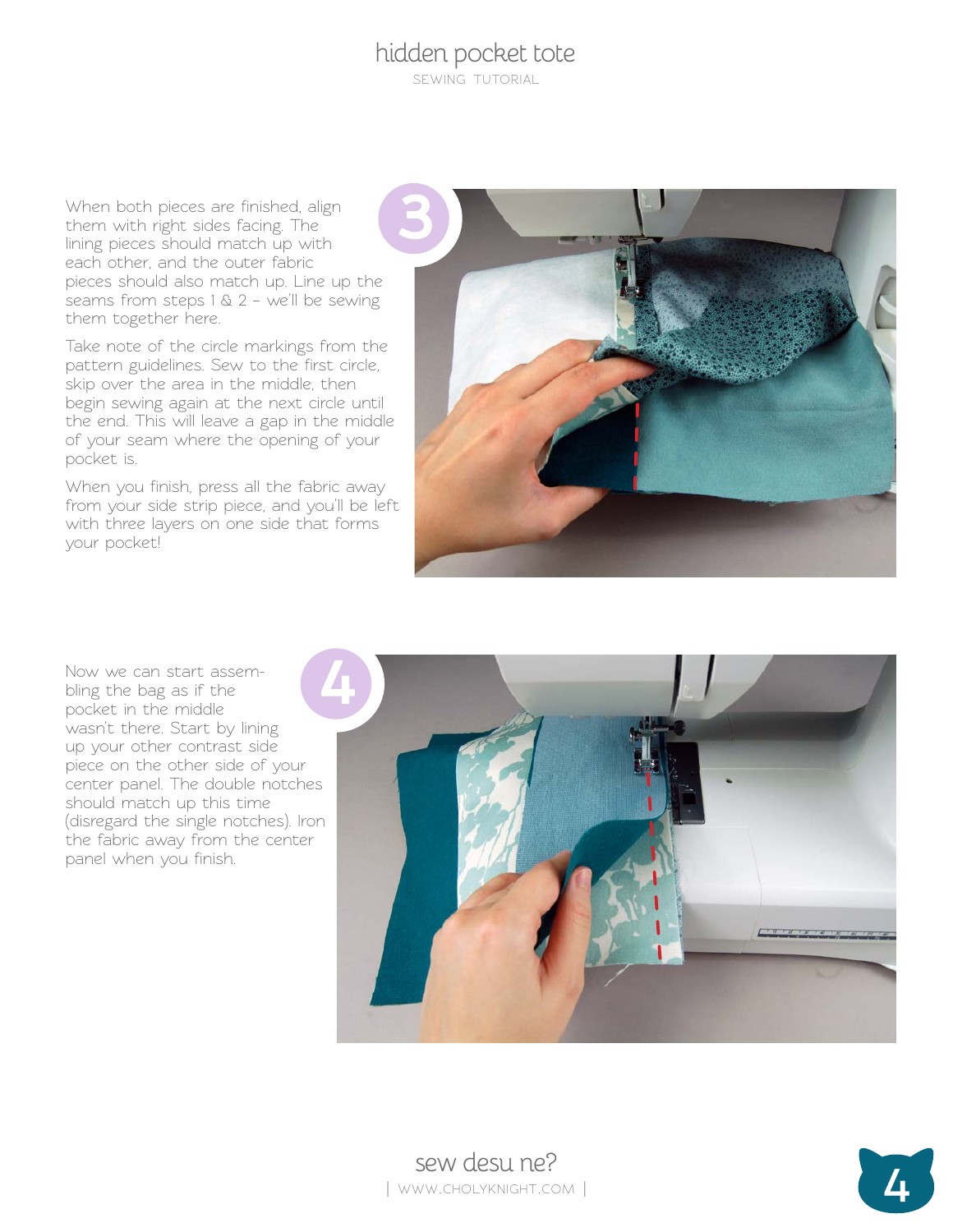sewing tutorial

When both pieces are finished, align them with right sides facing. The lining pieces should match up with each other, and the outer fabric pieces should also match up. Line up the seams from steps  $1 \& 2 - we'll be sewing$ them together here.

Take note of the circle markings from the pattern guidelines. Sew to the first circle, skip over the area in the middle, then begin sewing again at the next circle until the end. This will leave a gap in the middle of your seam where the opening of your pocket is.

When you finish, press all the fabric away from your side strip piece, and you'll be left with three layers on one side that forms your pocket!



Now we can start assem bling the bag as if the pocket in the middle wasn't there. Start by lining up your other contrast side piece on the other side of your center panel. The double notches should match up this time (disregard the single notches). Iron the fabric away from the center panel when you finish.



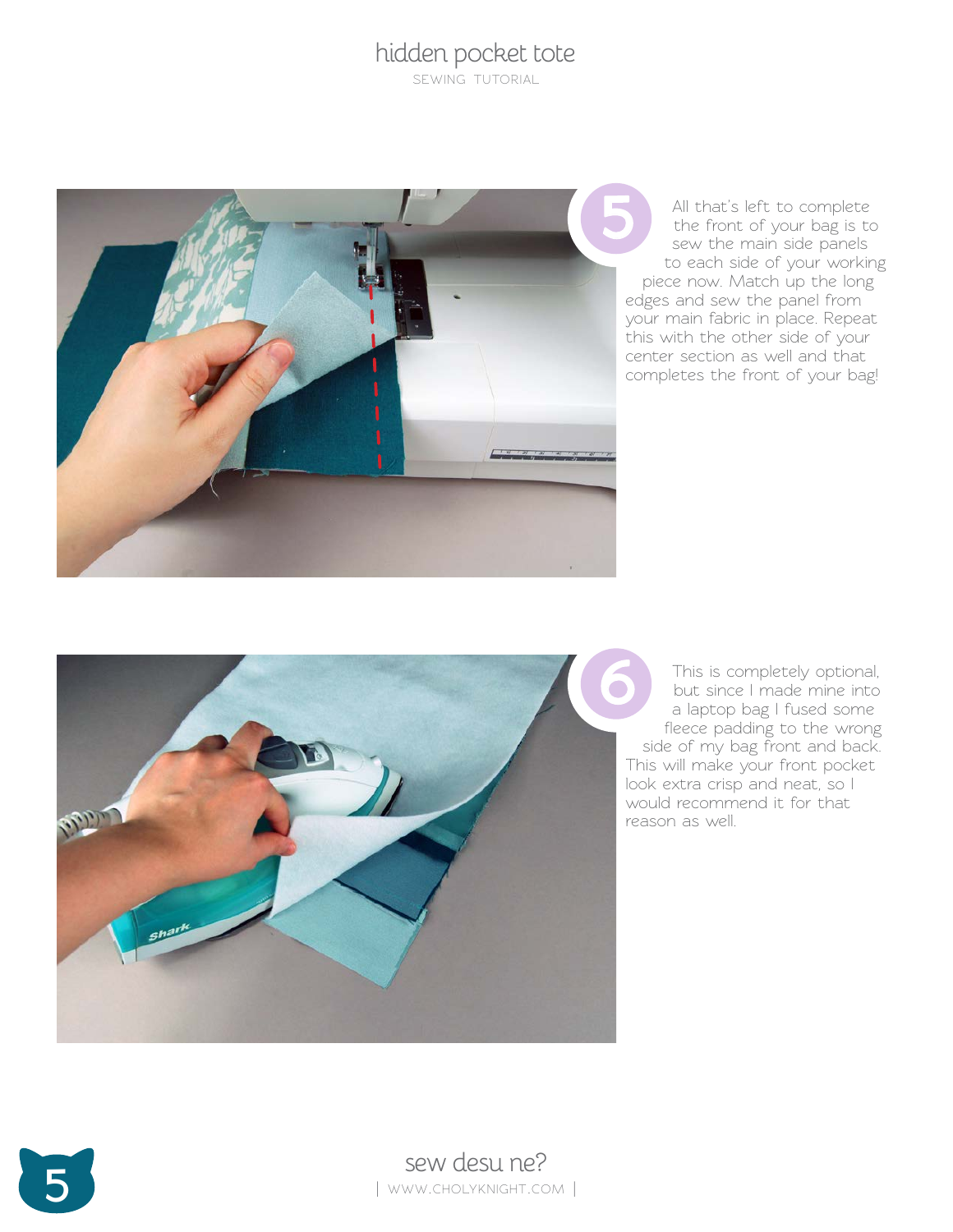sewing tutorial



All that's left to complete the front of your bag is to sew the main side panels to each side of your working piece now. Match up the long edges and sew the panel from your main fabric in place. Repeat this with the other side of your center section as well and that completes the front of your bag!



This is completely optional, but since I made mine into a laptop bag I fused some fleece padding to the wrong side of my bag front and back. This will make your front pocket look extra crisp and neat, so I would recommend it for that reason as well.



**5** sew desu ne? | www.cholyknight.com |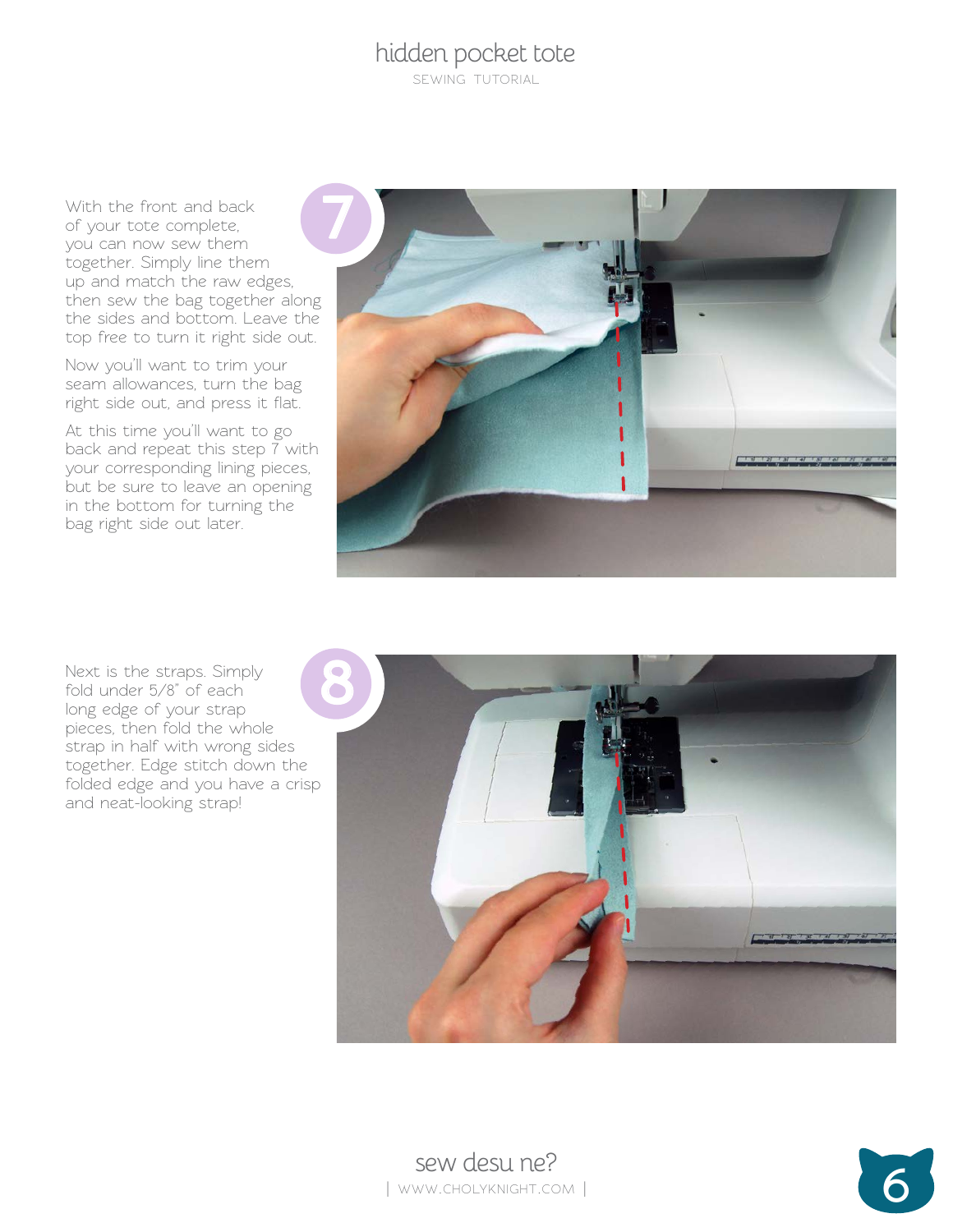sewing tutorial

With the front and back of your tote complete, you can now sew them together. Simply line them up and match the raw edges, then sew the bag together along the sides and bottom. Leave the top free to turn it right side out.

Now you'll want to trim your seam allowances, turn the bag right side out, and press it flat.

At this time you'll want to go back and repeat this step 7 with your corresponding lining pieces, but be sure to leave an opening in the bottom for turning the bag right side out later.



Next is the straps. Simply fold under 5/8" of each long edge of your strap pieces, then fold the whole strap in half with wrong sides together. Edge stitch down the folded edge and you have a crisp and neat-looking strap!



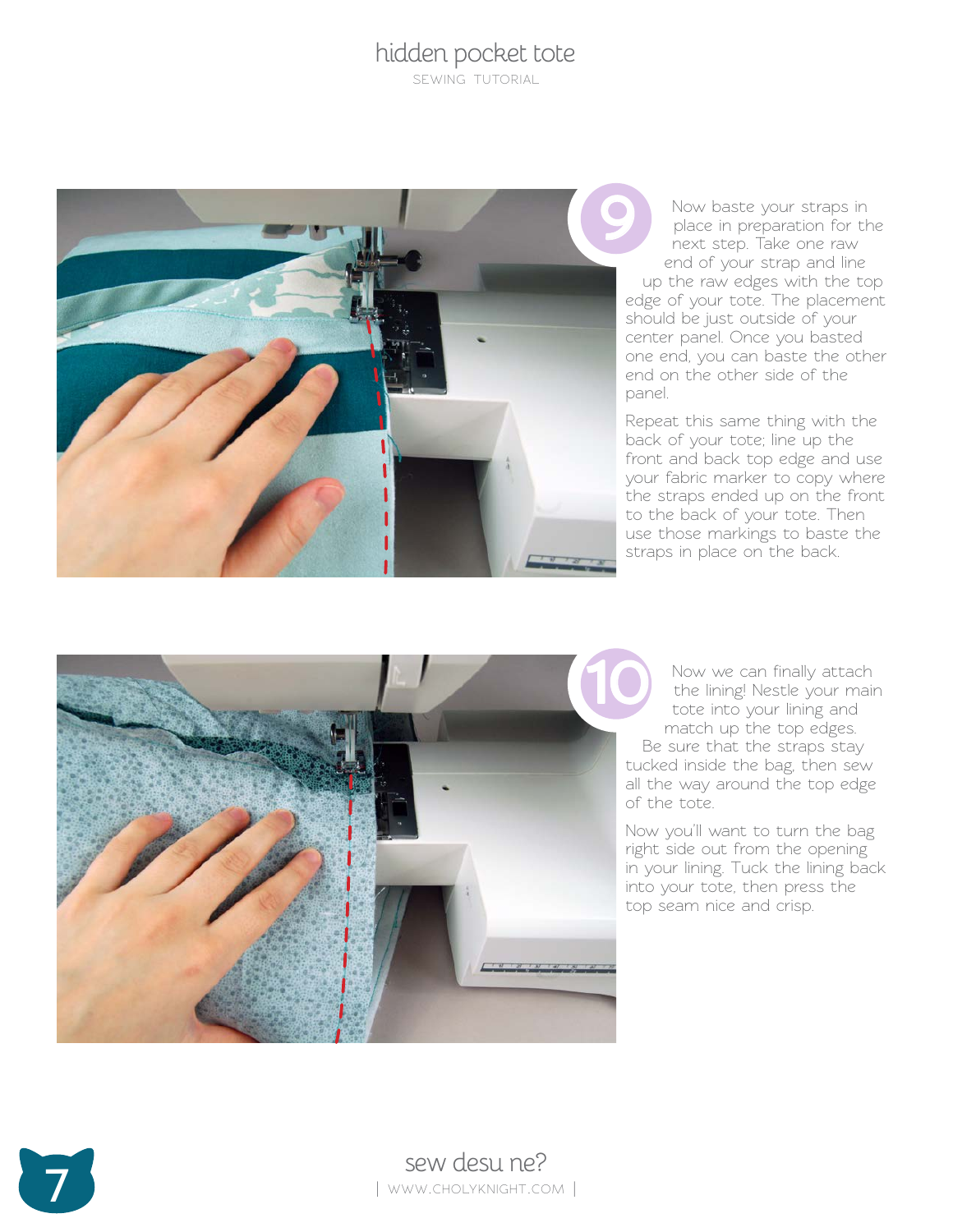sewing tutorial



Now baste your straps in place in preparation for the next step. Take one raw end of your strap and line up the raw edges with the top edge of your tote. The placement should be just outside of your center panel. Once you basted one end, you can baste the other end on the other side of the panel.

Repeat this same thing with the back of your tote; line up the front and back top edge and use your fabric marker to copy where the straps ended up on the front to the back of your tote. Then use those markings to baste the straps in place on the back.



Be sure that the straps stay tucked inside the bag, then sew all the way around the top edge of the tote.

Now you'll want to turn the bag right side out from the opening in your lining. Tuck the lining back into your tote, then press the top seam nice and crisp.

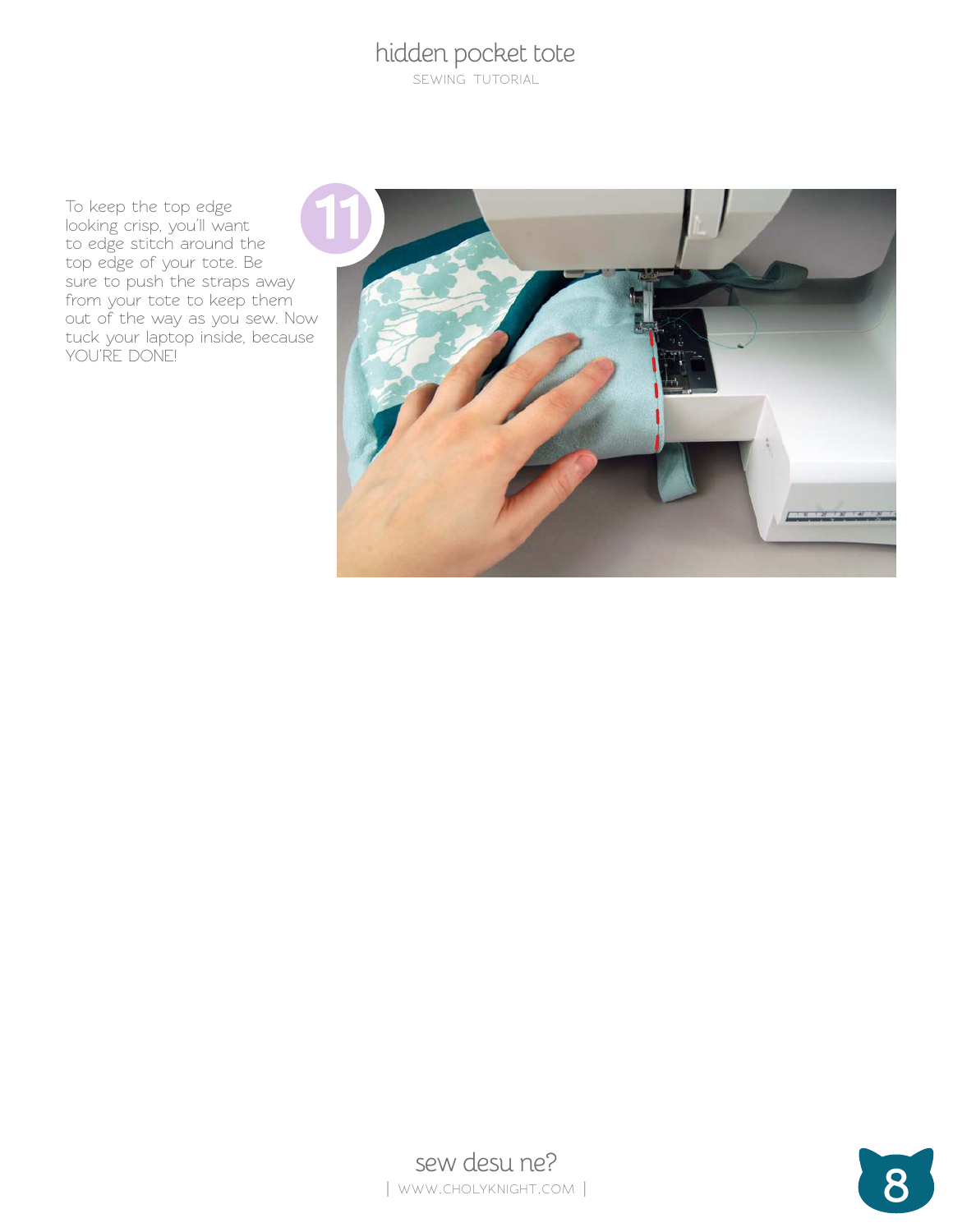sewing tutorial

To keep the top edge looking crisp, you'll want to edge stitch around the top edge of your tote. Be sure to push the straps away from your tote to keep them out of the way as you sew. Now tuck your laptop inside, because YOU'RE DONE!





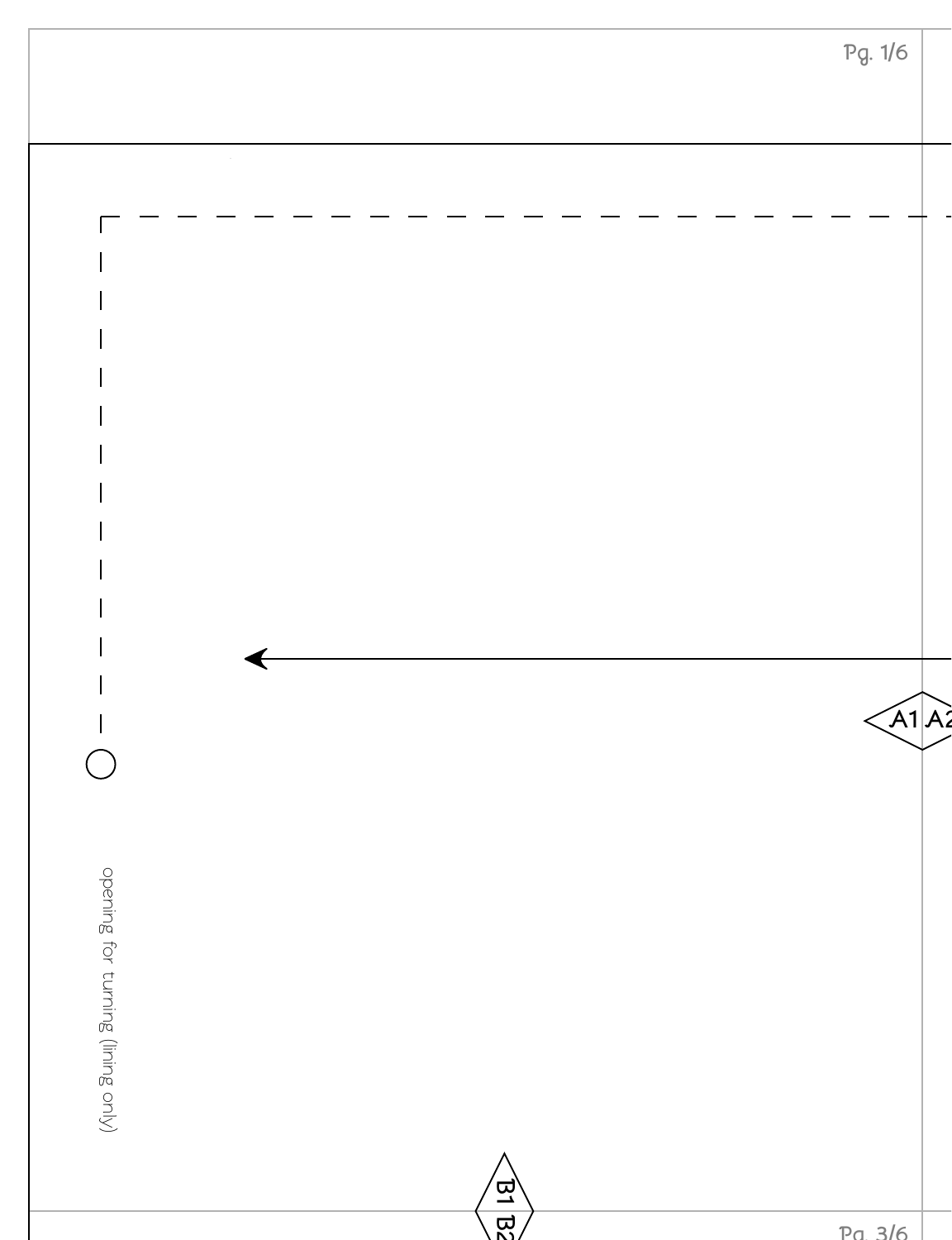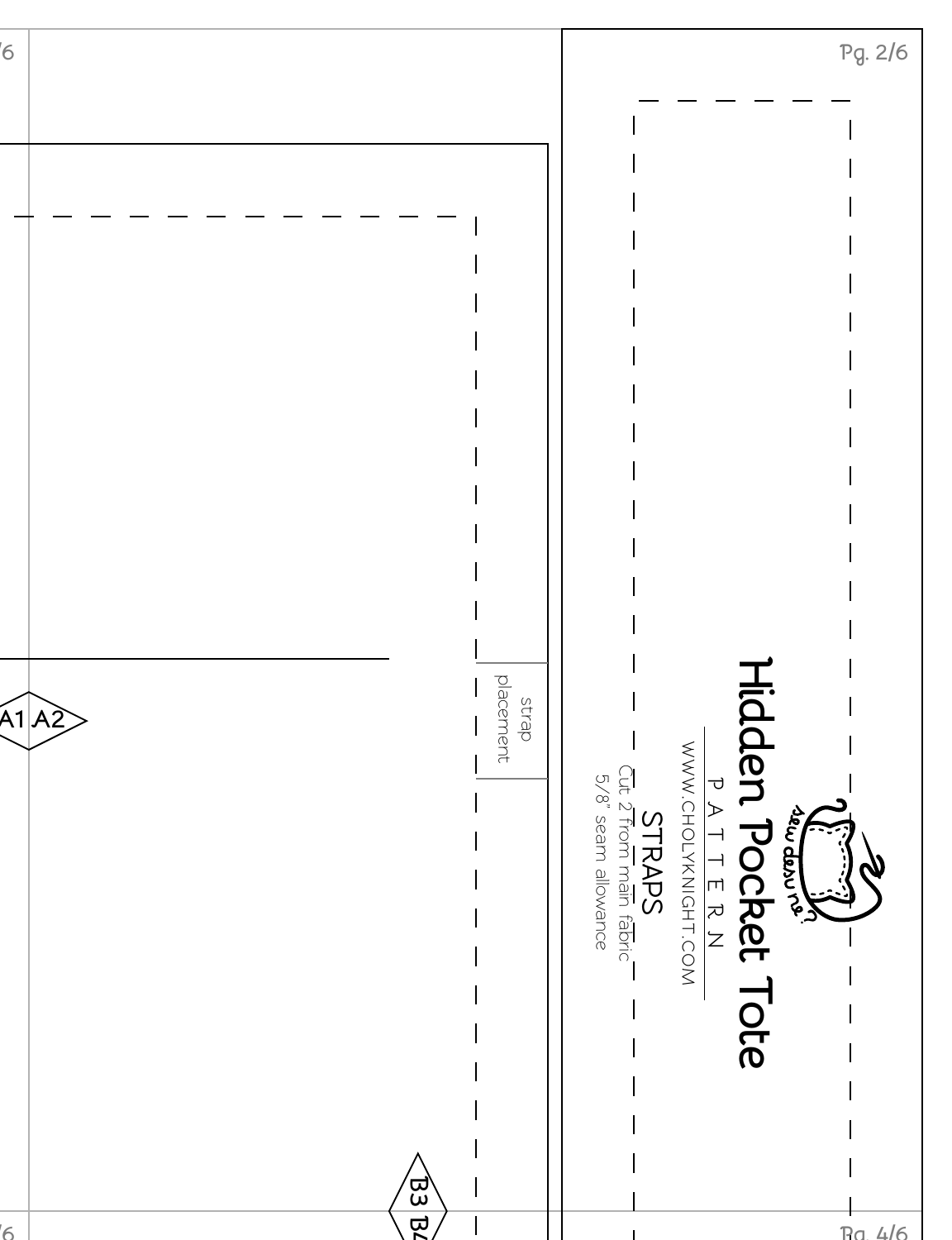| $\overline{6}$      |                  |       |                                                                                   | Pg. 2/6 |
|---------------------|------------------|-------|-----------------------------------------------------------------------------------|---------|
|                     |                  |       |                                                                                   |         |
|                     |                  |       |                                                                                   |         |
|                     |                  |       |                                                                                   |         |
|                     |                  |       |                                                                                   |         |
|                     |                  |       |                                                                                   |         |
|                     |                  |       |                                                                                   |         |
|                     |                  |       |                                                                                   |         |
|                     |                  |       |                                                                                   |         |
|                     |                  |       |                                                                                   |         |
|                     |                  |       |                                                                                   |         |
| $\widehat{A1}$ $A2$ | placement        | strap |                                                                                   |         |
|                     |                  |       | WWW.CHOLYXZIOHT.COM                                                               |         |
|                     |                  |       | STRAPS<br>Cut 2 from main fabric<br>5/8" seam allowance<br>PATTERN<br>Jew derivor |         |
|                     |                  |       |                                                                                   |         |
|                     |                  |       |                                                                                   |         |
|                     |                  |       | <b>Hidden Pocket Tote</b>                                                         |         |
|                     |                  |       |                                                                                   |         |
|                     |                  |       |                                                                                   |         |
| $\overline{6}$      | $\overline{133}$ |       | $Ra_4/6$                                                                          |         |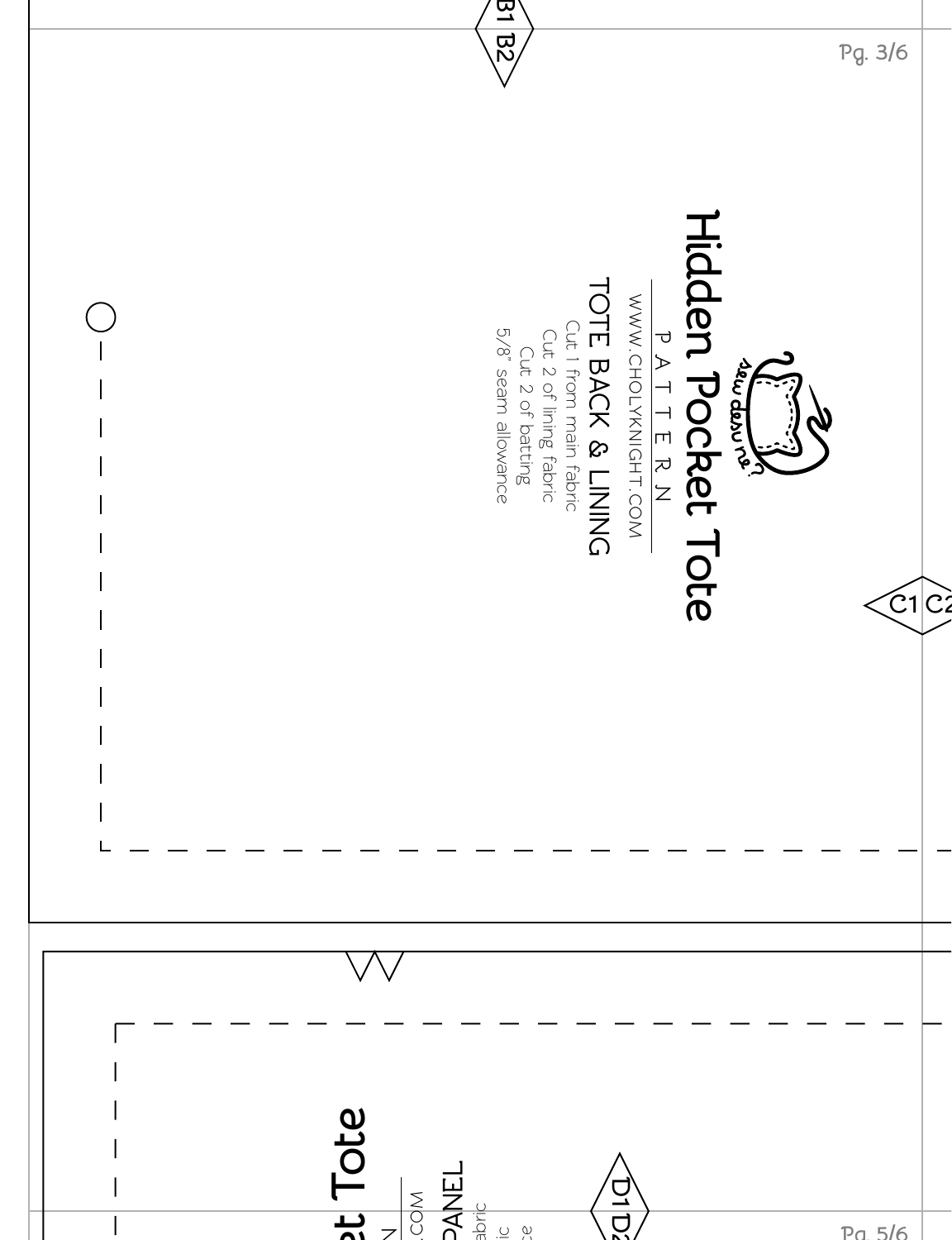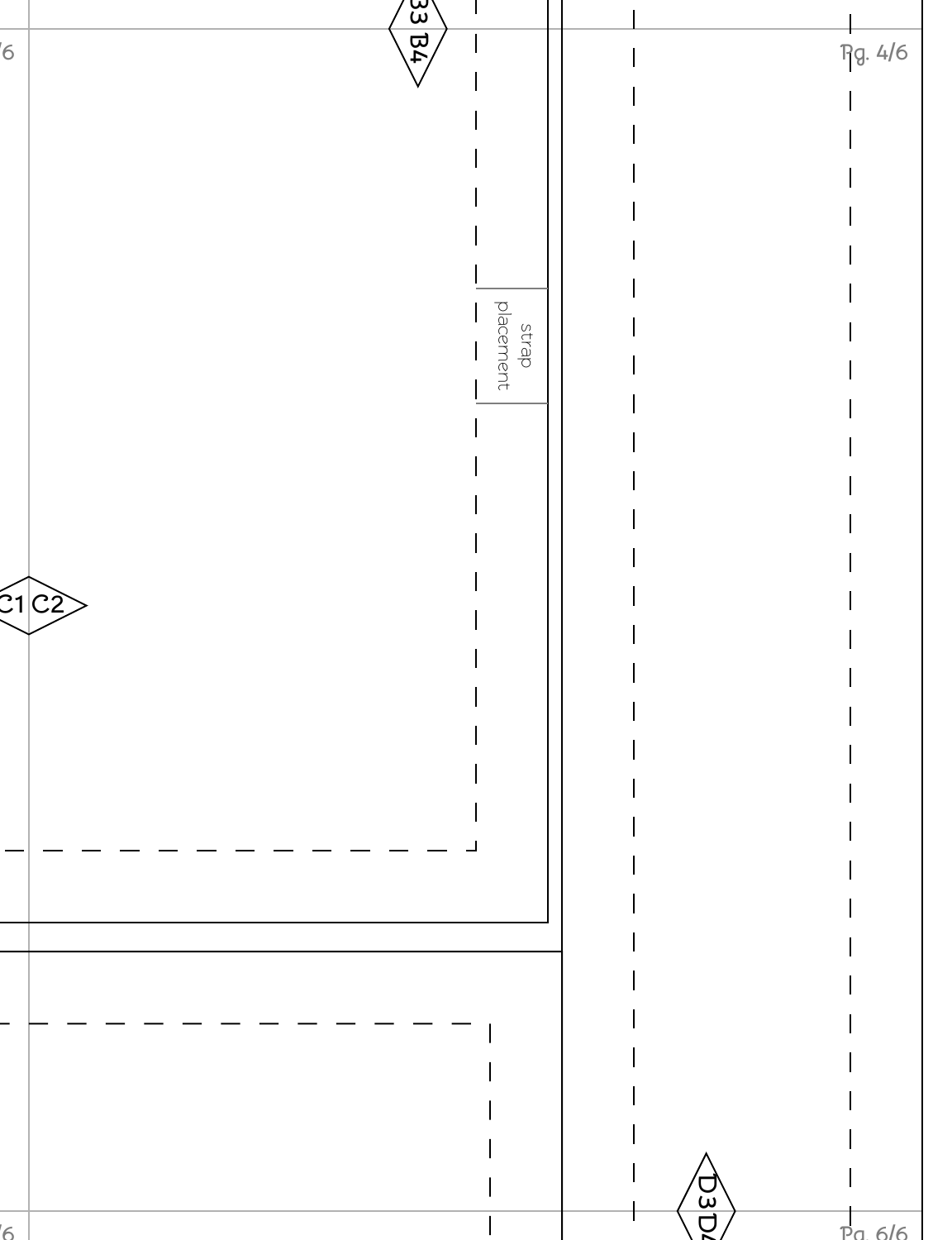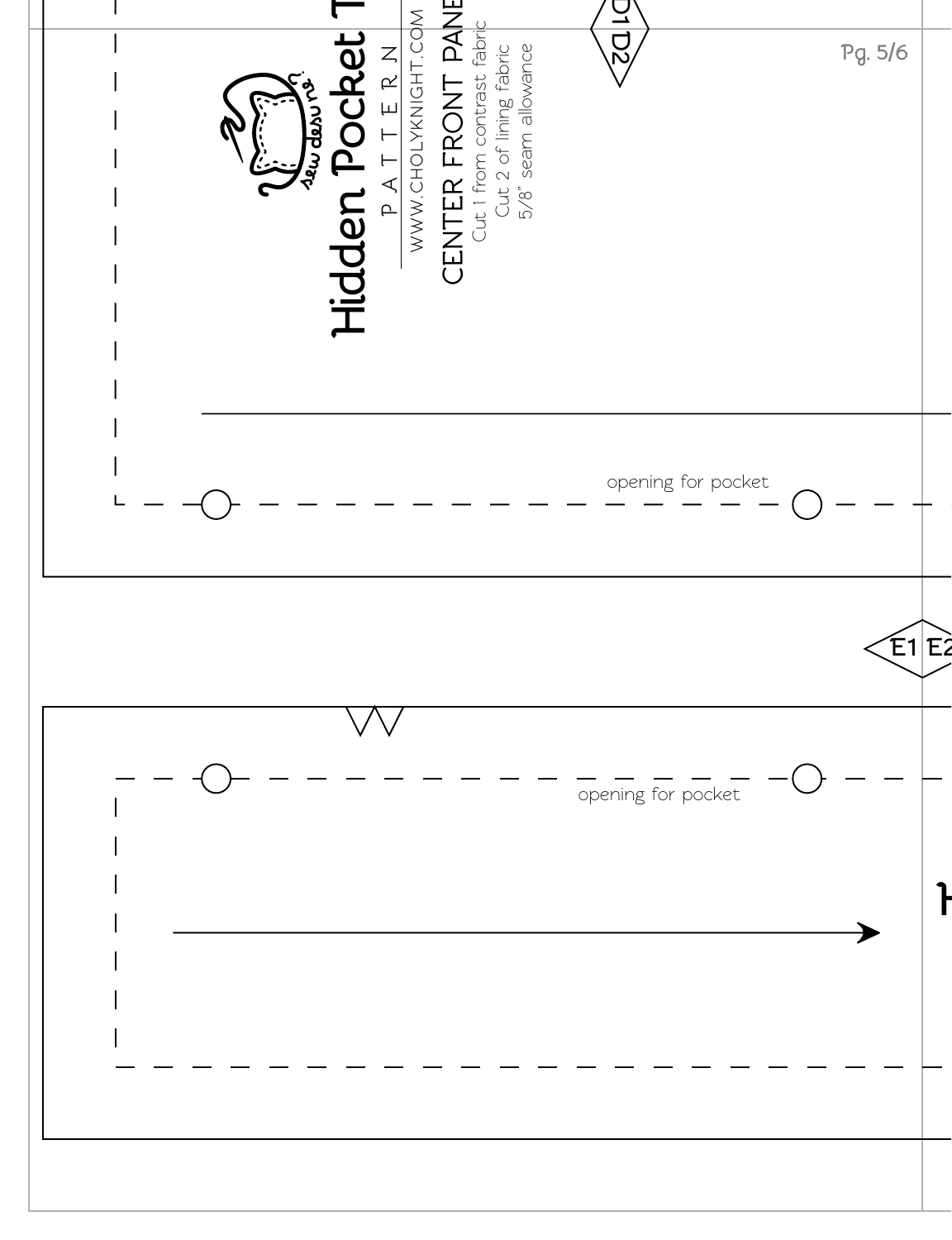